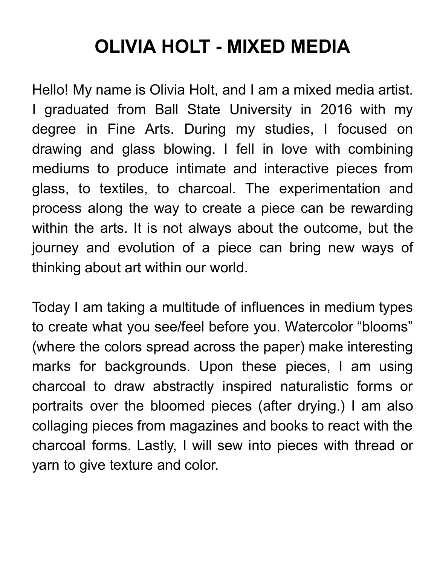## **OLIVIA HOLT - MIXED MEDIA**

Hello! My name is Olivia Holt, and I am a mixed media artist. I graduated from Ball State University in 2016 with my degree in Fine Arts. During my studies, I focused on drawing and glass blowing. I fell in love with combining mediums to produce intimate and interactive pieces from glass, to textiles, to charcoal. The experimentation and process along the way to create a piece can be rewarding within the arts. It is not always about the outcome, but the journey and evolution of a piece can bring new ways of thinking about art within our world.

Today I am taking a multitude of influences in medium types to create what you see/feel before you. Watercolor "blooms" (where the colors spread across the paper) make interesting marks for backgrounds. Upon these pieces, I am using charcoal to draw abstractly inspired naturalistic forms or portraits over the bloomed pieces (after drying.) I am also collaging pieces from magazines and books to react with the charcoal forms. Lastly, I will sew into pieces with thread or yarn to give texture and color.